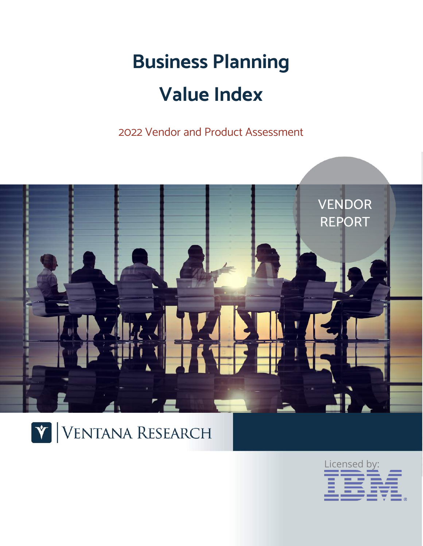# **Business Planning Value Index**

2022 Vendor and Product Assessment





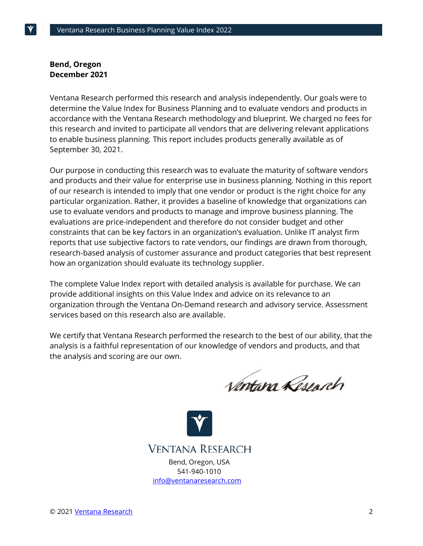#### **Bend, Oregon December 2021**

Ventana Research performed this research and analysis independently. Our goals were to determine the Value Index for Business Planning and to evaluate vendors and products in accordance with the Ventana Research methodology and blueprint. We charged no fees for this research and invited to participate all vendors that are delivering relevant applications to enable business planning. This report includes products generally available as of September 30, 2021.

Our purpose in conducting this research was to evaluate the maturity of software vendors and products and their value for enterprise use in business planning. Nothing in this report of our research is intended to imply that one vendor or product is the right choice for any particular organization. Rather, it provides a baseline of knowledge that organizations can use to evaluate vendors and products to manage and improve business planning. The evaluations are price-independent and therefore do not consider budget and other constraints that can be key factors in an organization's evaluation. Unlike IT analyst firm reports that use subjective factors to rate vendors, our findings are drawn from thorough, research-based analysis of customer assurance and product categories that best represent how an organization should evaluate its technology supplier.

The complete Value Index report with detailed analysis is available for purchase. We can provide additional insights on this Value Index and advice on its relevance to an organization through the Ventana On-Demand research and advisory service. Assessment services based on this research also are available.

We certify that Ventana Research performed the research to the best of our ability, that the analysis is a faithful representation of our knowledge of vendors and products, and that the analysis and scoring are our own.

Ventana Research

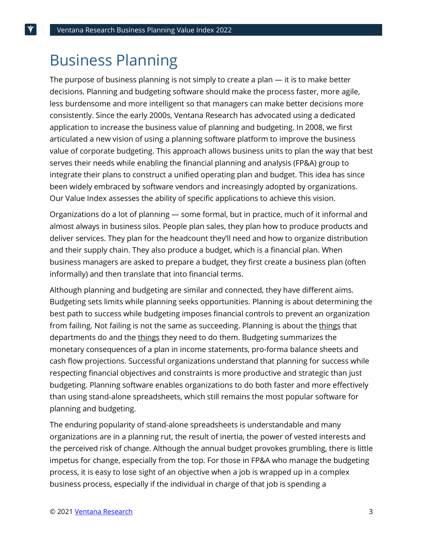## Business Planning

The purpose of business planning is not simply to create a plan — it is to make better decisions. Planning and budgeting software should make the process faster, more agile, less burdensome and more intelligent so that managers can make better decisions more consistently. Since the early 2000s, Ventana Research has advocated using a dedicated application to increase the business value of planning and budgeting. In 2008, we first articulated a new vision of using a planning software platform to improve the business value of corporate budgeting. This approach allows business units to plan the way that best serves their needs while enabling the financial planning and analysis (FP&A) group to integrate their plans to construct a unified operating plan and budget. This idea has since been widely embraced by software vendors and increasingly adopted by organizations. Our Value Index assesses the ability of specific applications to achieve this vision.

Organizations do a lot of planning — some formal, but in practice, much of it informal and almost always in business silos. People plan sales, they plan how to produce products and deliver services. They plan for the headcount they'll need and how to organize distribution and their supply chain. They also produce a budget, which is a financial plan. When business managers are asked to prepare a budget, they first create a business plan (often informally) and then translate that into financial terms.

Although planning and budgeting are similar and connected, they have different aims. Budgeting sets limits while planning seeks opportunities. Planning is about determining the best path to success while budgeting imposes financial controls to prevent an organization from failing. Not failing is not the same as succeeding. Planning is about the things that departments do and the things they need to do them. Budgeting summarizes the monetary consequences of a plan in income statements, pro-forma balance sheets and cash flow projections. Successful organizations understand that planning for success while respecting financial objectives and constraints is more productive and strategic than just budgeting. Planning software enables organizations to do both faster and more effectively than using stand-alone spreadsheets, which still remains the most popular software for planning and budgeting.

The enduring popularity of stand-alone spreadsheets is understandable and many organizations are in a planning rut, the result of inertia, the power of vested interests and the perceived risk of change. Although the annual budget provokes grumbling, there is little impetus for change, especially from the top. For those in FP&A who manage the budgeting process, it is easy to lose sight of an objective when a job is wrapped up in a complex business process, especially if the individual in charge of that job is spending a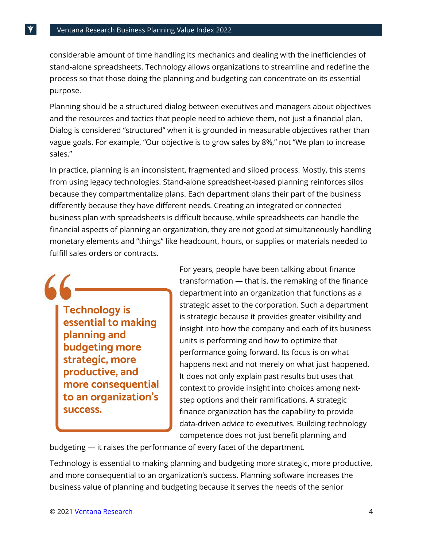considerable amount of time handling its mechanics and dealing with the inefficiencies of stand-alone spreadsheets. Technology allows organizations to streamline and redefine the process so that those doing the planning and budgeting can concentrate on its essential purpose.

Planning should be a structured dialog between executives and managers about objectives and the resources and tactics that people need to achieve them, not just a financial plan. Dialog is considered "structured" when it is grounded in measurable objectives rather than vague goals. For example, "Our objective is to grow sales by 8%," not "We plan to increase sales."

In practice, planning is an inconsistent, fragmented and siloed process. Mostly, this stems from using legacy technologies. Stand-alone spreadsheet-based planning reinforces silos because they compartmentalize plans. Each department plans their part of the business differently because they have different needs. Creating an integrated or connected business plan with spreadsheets is difficult because, while spreadsheets can handle the financial aspects of planning an organization, they are not good at simultaneously handling monetary elements and "things" like headcount, hours, or supplies or materials needed to fulfill sales orders or contracts.

**Technology is essential to making planning and budgeting more strategic, more productive, and more consequential to an organization's success.**

For years, people have been talking about finance transformation — that is, the remaking of the finance department into an organization that functions as a strategic asset to the corporation. Such a department is strategic because it provides greater visibility and insight into how the company and each of its business units is performing and how to optimize that performance going forward. Its focus is on what happens next and not merely on what just happened. It does not only explain past results but uses that context to provide insight into choices among nextstep options and their ramifications. A strategic finance organization has the capability to provide data-driven advice to executives. Building technology competence does not just benefit planning and

budgeting — it raises the performance of every facet of the department.

Technology is essential to making planning and budgeting more strategic, more productive, and more consequential to an organization's success. Planning software increases the business value of planning and budgeting because it serves the needs of the senior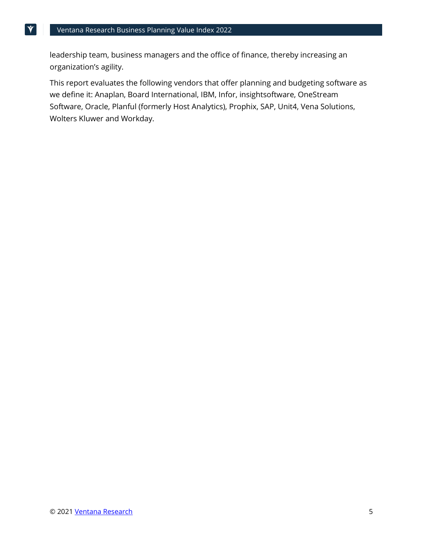leadership team, business managers and the office of finance, thereby increasing an organization's agility.

This report evaluates the following vendors that offer planning and budgeting software as we define it: Anaplan, Board International, IBM, Infor, insightsoftware, OneStream Software, Oracle, Planful (formerly Host Analytics), Prophix, SAP, Unit4, Vena Solutions, Wolters Kluwer and Workday.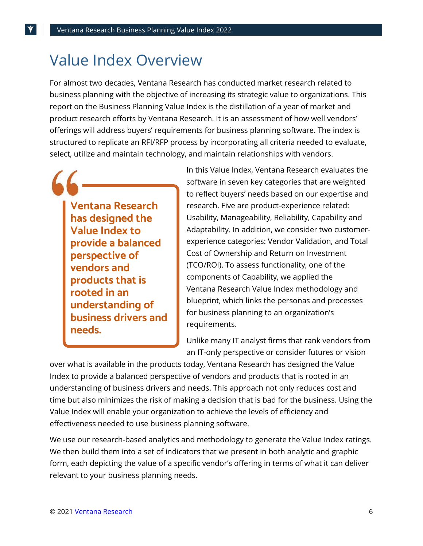## Value Index Overview

For almost two decades, Ventana Research has conducted market research related to business planning with the objective of increasing its strategic value to organizations. This report on the Business Planning Value Index is the distillation of a year of market and product research efforts by Ventana Research. It is an assessment of how well vendors' offerings will address buyers' requirements for business planning software. The index is structured to replicate an RFI/RFP process by incorporating all criteria needed to evaluate, select, utilize and maintain technology, and maintain relationships with vendors.

**Ventana Research has designed the Value Index to provide a balanced perspective of vendors and products that is rooted in an understanding of business drivers and needs.**

In this Value Index, Ventana Research evaluates the software in seven key categories that are weighted to reflect buyers' needs based on our expertise and research. Five are product-experience related: Usability, Manageability, Reliability, Capability and Adaptability. In addition, we consider two customerexperience categories: Vendor Validation, and Total Cost of Ownership and Return on Investment (TCO/ROI). To assess functionality, one of the components of Capability, we applied the Ventana Research Value Index methodology and blueprint, which links the personas and processes for business planning to an organization's requirements.

Unlike many IT analyst firms that rank vendors from an IT-only perspective or consider futures or vision

over what is available in the products today, Ventana Research has designed the Value Index to provide a balanced perspective of vendors and products that is rooted in an understanding of business drivers and needs. This approach not only reduces cost and time but also minimizes the risk of making a decision that is bad for the business. Using the Value Index will enable your organization to achieve the levels of efficiency and effectiveness needed to use business planning software.

We use our research-based analytics and methodology to generate the Value Index ratings. We then build them into a set of indicators that we present in both analytic and graphic form, each depicting the value of a specific vendor's offering in terms of what it can deliver relevant to your business planning needs.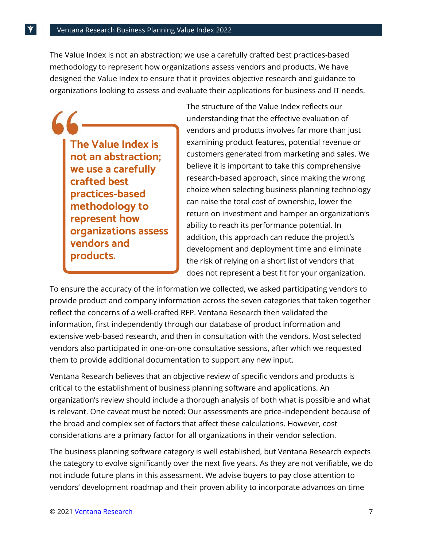The Value Index is not an abstraction; we use a carefully crafted best practices-based methodology to represent how organizations assess vendors and products. We have designed the Value Index to ensure that it provides objective research and guidance to organizations looking to assess and evaluate their applications for business and IT needs.

**The Value Index is not an abstraction; we use a carefully crafted best practices-based methodology to represent how organizations assess vendors and products.**

The structure of the Value Index reflects our understanding that the effective evaluation of vendors and products involves far more than just examining product features, potential revenue or customers generated from marketing and sales. We believe it is important to take this comprehensive research-based approach, since making the wrong choice when selecting business planning technology can raise the total cost of ownership, lower the return on investment and hamper an organization's ability to reach its performance potential. In addition, this approach can reduce the project's development and deployment time and eliminate the risk of relying on a short list of vendors that does not represent a best fit for your organization.

To ensure the accuracy of the information we collected, we asked participating vendors to provide product and company information across the seven categories that taken together reflect the concerns of a well-crafted RFP. Ventana Research then validated the information, first independently through our database of product information and extensive web-based research, and then in consultation with the vendors. Most selected vendors also participated in one-on-one consultative sessions, after which we requested them to provide additional documentation to support any new input.

Ventana Research believes that an objective review of specific vendors and products is critical to the establishment of business planning software and applications. An organization's review should include a thorough analysis of both what is possible and what is relevant. One caveat must be noted: Our assessments are price-independent because of the broad and complex set of factors that affect these calculations. However, cost considerations are a primary factor for all organizations in their vendor selection.

The business planning software category is well established, but Ventana Research expects the category to evolve significantly over the next five years. As they are not verifiable, we do not include future plans in this assessment. We advise buyers to pay close attention to vendors' development roadmap and their proven ability to incorporate advances on time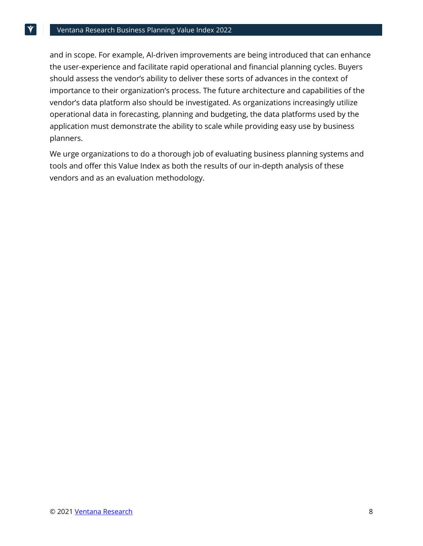and in scope. For example, AI-driven improvements are being introduced that can enhance the user-experience and facilitate rapid operational and financial planning cycles. Buyers should assess the vendor's ability to deliver these sorts of advances in the context of importance to their organization's process. The future architecture and capabilities of the vendor's data platform also should be investigated. As organizations increasingly utilize operational data in forecasting, planning and budgeting, the data platforms used by the application must demonstrate the ability to scale while providing easy use by business planners.

We urge organizations to do a thorough job of evaluating business planning systems and tools and offer this Value Index as both the results of our in-depth analysis of these vendors and as an evaluation methodology.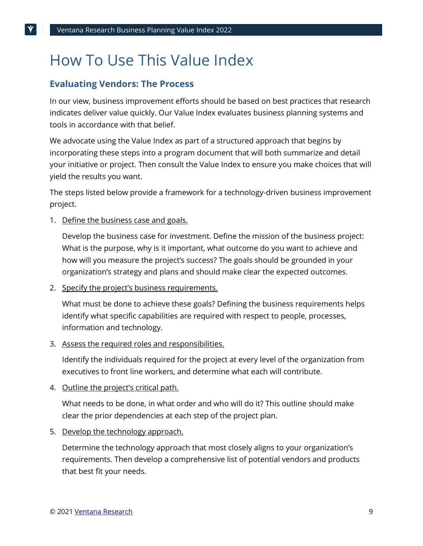# How To Use This Value Index

### **Evaluating Vendors: The Process**

In our view, business improvement efforts should be based on best practices that research indicates deliver value quickly. Our Value Index evaluates business planning systems and tools in accordance with that belief.

We advocate using the Value Index as part of a structured approach that begins by incorporating these steps into a program document that will both summarize and detail your initiative or project. Then consult the Value Index to ensure you make choices that will yield the results you want.

The steps listed below provide a framework for a technology-driven business improvement project.

1. Define the business case and goals.

Develop the business case for investment. Define the mission of the business project: What is the purpose, why is it important, what outcome do you want to achieve and how will you measure the project's success? The goals should be grounded in your organization's strategy and plans and should make clear the expected outcomes.

2. Specify the project's business requirements.

What must be done to achieve these goals? Defining the business requirements helps identify what specific capabilities are required with respect to people, processes, information and technology.

3. Assess the required roles and responsibilities.

Identify the individuals required for the project at every level of the organization from executives to front line workers, and determine what each will contribute.

4. Outline the project's critical path.

What needs to be done, in what order and who will do it? This outline should make clear the prior dependencies at each step of the project plan.

5. Develop the technology approach.

Determine the technology approach that most closely aligns to your organization's requirements. Then develop a comprehensive list of potential vendors and products that best fit your needs.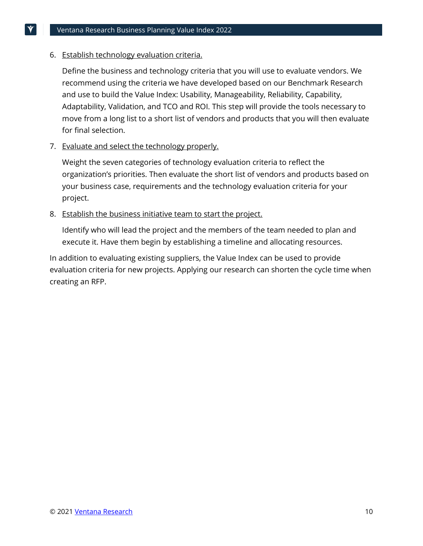#### 6. Establish technology evaluation criteria.

Define the business and technology criteria that you will use to evaluate vendors. We recommend using the criteria we have developed based on our Benchmark Research and use to build the Value Index: Usability, Manageability, Reliability, Capability, Adaptability, Validation, and TCO and ROI. This step will provide the tools necessary to move from a long list to a short list of vendors and products that you will then evaluate for final selection.

#### 7. Evaluate and select the technology properly.

Weight the seven categories of technology evaluation criteria to reflect the organization's priorities. Then evaluate the short list of vendors and products based on your business case, requirements and the technology evaluation criteria for your project.

#### 8. Establish the business initiative team to start the project.

Identify who will lead the project and the members of the team needed to plan and execute it. Have them begin by establishing a timeline and allocating resources.

In addition to evaluating existing suppliers, the Value Index can be used to provide evaluation criteria for new projects. Applying our research can shorten the cycle time when creating an RFP.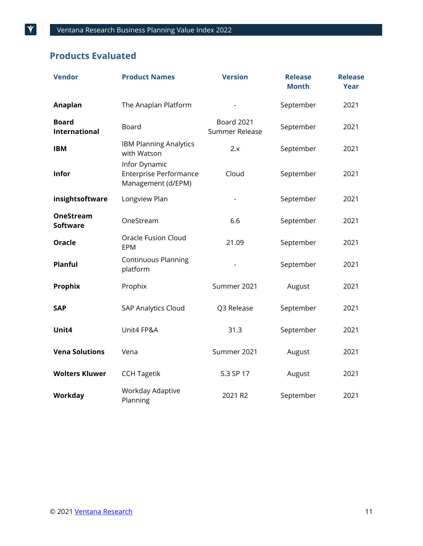### **Products Evaluated**

| <b>Vendor</b>                        | <b>Product Names</b>                                                 | <b>Version</b>                      | <b>Release</b><br><b>Month</b> | <b>Release</b><br><b>Year</b> |
|--------------------------------------|----------------------------------------------------------------------|-------------------------------------|--------------------------------|-------------------------------|
| Anaplan                              | The Anaplan Platform                                                 |                                     | September                      | 2021                          |
| <b>Board</b><br><b>International</b> | Board                                                                | <b>Board 2021</b><br>Summer Release | September                      | 2021                          |
| <b>IBM</b>                           | <b>IBM Planning Analytics</b><br>with Watson                         | 2.x                                 | September                      | 2021                          |
| <b>Infor</b>                         | Infor Dynamic<br><b>Enterprise Performance</b><br>Management (d/EPM) | Cloud                               | September                      | 2021                          |
| insightsoftware                      | Longview Plan                                                        |                                     | September                      | 2021                          |
| <b>OneStream</b><br><b>Software</b>  | OneStream                                                            | 6.6                                 | September                      | 2021                          |
| <b>Oracle</b>                        | <b>Oracle Fusion Cloud</b><br><b>EPM</b>                             | 21.09                               | September                      | 2021                          |
| Planful                              | <b>Continuous Planning</b><br>platform                               |                                     | September                      | 2021                          |
| <b>Prophix</b>                       | Prophix                                                              | Summer 2021                         | August                         | 2021                          |
| <b>SAP</b>                           | <b>SAP Analytics Cloud</b>                                           | Q3 Release                          | September                      | 2021                          |
| Unit4                                | Unit4 FP&A                                                           | 31.3                                | September                      | 2021                          |
| <b>Vena Solutions</b>                | Vena                                                                 | Summer 2021                         | August                         | 2021                          |
| <b>Wolters Kluwer</b>                | <b>CCH Tagetik</b>                                                   | 5.3 SP 17                           | August                         | 2021                          |
| <b>Workday</b>                       | Workday Adaptive<br>Planning                                         | 2021 R2                             | September                      | 2021                          |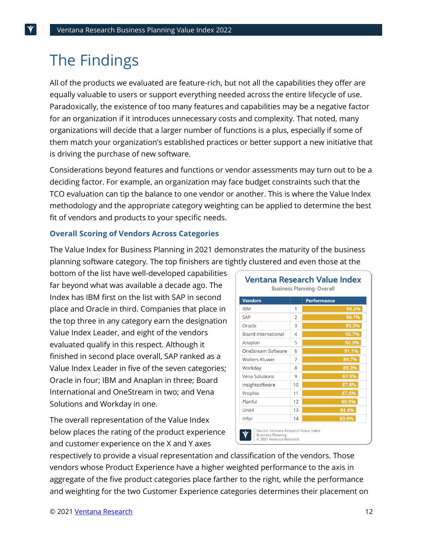### The Findings

All of the products we evaluated are feature-rich, but not all the capabilities they offer are equally valuable to users or support everything needed across the entire lifecycle of use. Paradoxically, the existence of too many features and capabilities may be a negative factor for an organization if it introduces unnecessary costs and complexity. That noted, many organizations will decide that a larger number of functions is a plus, especially if some of them match your organization's established practices or better support a new initiative that is driving the purchase of new software.

Considerations beyond features and functions or vendor assessments may turn out to be a deciding factor. For example, an organization may face budget constraints such that the TCO evaluation can tip the balance to one vendor or another. This is where the Value Index methodology and the appropriate category weighting can be applied to determine the best fit of vendors and products to your specific needs.

#### **Overall Scoring of Vendors Across Categories**

The Value Index for Business Planning in 2021 demonstrates the maturity of the business planning software category. The top finishers are tightly clustered and even those at the

bottom of the list have well-developed capabilities far beyond what was available a decade ago. The Index has IBM first on the list with SAP in second place and Oracle in third. Companies that place in the top three in any category earn the designation Value Index Leader, and eight of the vendors evaluated qualify in this respect. Although it finished in second place overall, SAP ranked as a Value Index Leader in five of the seven categories; Oracle in four; IBM and Anaplan in three; Board International and OneStream in two; and Vena Solutions and Workday in one.

The overall representation of the Value Index below places the rating of the product experience and customer experience on the X and Y axes

| <b>Vendors</b>             |                | <b>Performance</b> |
|----------------------------|----------------|--------------------|
| <b>IBM</b>                 | 1              | 94.3%              |
| SAP                        | $\mathfrak{D}$ | 94.1%              |
| Oracle                     | 3              | 93.3%              |
| <b>Board International</b> | 4              | 92.7%              |
| Anaplan                    | 5              | 92.3%              |
| OneStream Software         | 6              | 91.1%              |
| <b>Wolters Kluwer</b>      | 7              | 89.7%              |
| Workday                    | 8              | 89.3%              |
| Vena Solutions             | 9              | 87.9%              |
| insightsoftware            | 10             | 87.8%              |
| Prophix                    | 11             | 87.5%              |
| Planful                    | 12             | 86.9%              |
| Unit4                      | 13             | 84.4%              |
| Infor                      | 14             | 83.9%              |

respectively to provide a visual representation and classification of the vendors. Those vendors whose Product Experience have a higher weighted performance to the axis in aggregate of the five product categories place farther to the right, while the performance and weighting for the two Customer Experience categories determines their placement on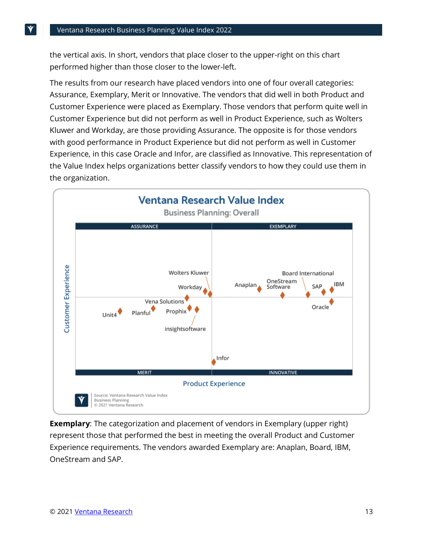the vertical axis. In short, vendors that place closer to the upper-right on this chart performed higher than those closer to the lower-left.

The results from our research have placed vendors into one of four overall categories: Assurance, Exemplary, Merit or Innovative. The vendors that did well in both Product and Customer Experience were placed as Exemplary. Those vendors that perform quite well in Customer Experience but did not perform as well in Product Experience, such as Wolters Kluwer and Workday, are those providing Assurance. The opposite is for those vendors with good performance in Product Experience but did not perform as well in Customer Experience, in this case Oracle and Infor, are classified as Innovative. This representation of the Value Index helps organizations better classify vendors to how they could use them in the organization.



**Exemplary**: The categorization and placement of vendors in Exemplary (upper right) represent those that performed the best in meeting the overall Product and Customer Experience requirements. The vendors awarded Exemplary are: Anaplan, Board, IBM, OneStream and SAP.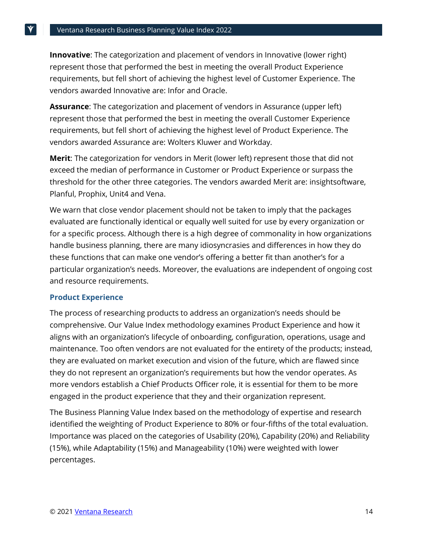**Innovative**: The categorization and placement of vendors in Innovative (lower right) represent those that performed the best in meeting the overall Product Experience requirements, but fell short of achieving the highest level of Customer Experience. The vendors awarded Innovative are: Infor and Oracle.

**Assurance**: The categorization and placement of vendors in Assurance (upper left) represent those that performed the best in meeting the overall Customer Experience requirements, but fell short of achieving the highest level of Product Experience. The vendors awarded Assurance are: Wolters Kluwer and Workday.

**Merit**: The categorization for vendors in Merit (lower left) represent those that did not exceed the median of performance in Customer or Product Experience or surpass the threshold for the other three categories. The vendors awarded Merit are: insightsoftware, Planful, Prophix, Unit4 and Vena.

We warn that close vendor placement should not be taken to imply that the packages evaluated are functionally identical or equally well suited for use by every organization or for a specific process. Although there is a high degree of commonality in how organizations handle business planning, there are many idiosyncrasies and differences in how they do these functions that can make one vendor's offering a better fit than another's for a particular organization's needs. Moreover, the evaluations are independent of ongoing cost and resource requirements.

#### **Product Experience**

The process of researching products to address an organization's needs should be comprehensive. Our Value Index methodology examines Product Experience and how it aligns with an organization's lifecycle of onboarding, configuration, operations, usage and maintenance. Too often vendors are not evaluated for the entirety of the products; instead, they are evaluated on market execution and vision of the future, which are flawed since they do not represent an organization's requirements but how the vendor operates. As more vendors establish a Chief Products Officer role, it is essential for them to be more engaged in the product experience that they and their organization represent.

The Business Planning Value Index based on the methodology of expertise and research identified the weighting of Product Experience to 80% or four-fifths of the total evaluation. Importance was placed on the categories of Usability (20%), Capability (20%) and Reliability (15%), while Adaptability (15%) and Manageability (10%) were weighted with lower percentages.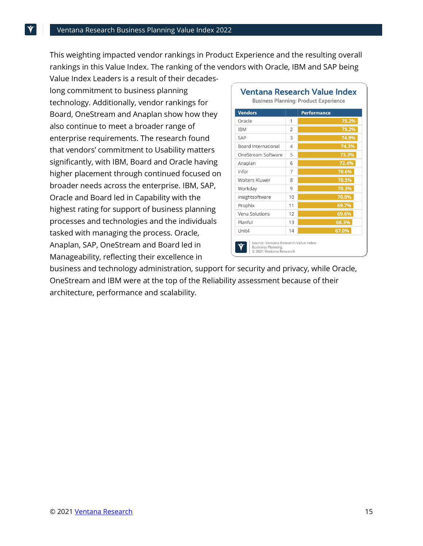This weighting impacted vendor rankings in Product Experience and the resulting overall rankings in this Value Index. The ranking of the vendors with Oracle, IBM and SAP being

Value Index Leaders is a result of their decadeslong commitment to business planning technology. Additionally, vendor rankings for Board, OneStream and Anaplan show how they also continue to meet a broader range of enterprise requirements. The research found that vendors' commitment to Usability matters significantly, with IBM, Board and Oracle having higher placement through continued focused on broader needs across the enterprise. IBM, SAP, Oracle and Board led in Capability with the highest rating for support of business planning processes and technologies and the individuals tasked with managing the process. Oracle, Anaplan, SAP, OneStream and Board led in Manageability, reflecting their excellence in

| <b>Vendors</b>             |                | <b>Performance</b> |
|----------------------------|----------------|--------------------|
| Oracle                     | 1              | 75.2%              |
| <b>IBM</b>                 | $\mathfrak{D}$ | 75.2%              |
| SAP                        | 3              | 74.9%              |
| <b>Board International</b> | $\overline{4}$ | 74.3%              |
| OneStream Software         | 5              | 73.3%              |
| Anaplan                    | 6              | 72.4%              |
| Infor                      | 7              | 70.6%              |
| Wolters Kluwer             | 8              | 70.5%              |
| Workday                    | 9              | 70.3%              |
| insightsoftware            | 10             | 70.0%              |
| Prophix                    | 11             | 69.7%              |
| Vena Solutions             | 12             | 69.6%              |
| Planful                    | 13             | 68.3%              |
| Unit4                      | 14             | 67.0%              |

business and technology administration, support for security and privacy, while Oracle, OneStream and IBM were at the top of the Reliability assessment because of their architecture, performance and scalability.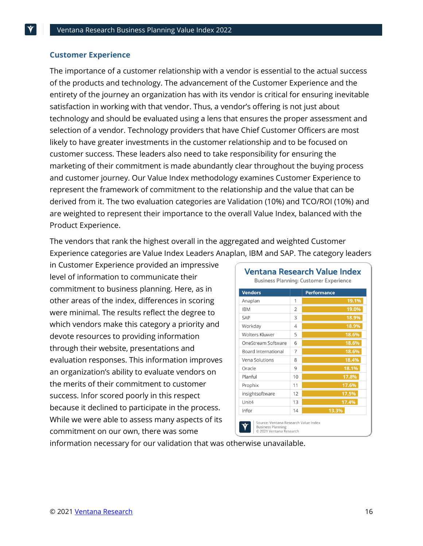#### **Customer Experience**

The importance of a customer relationship with a vendor is essential to the actual success of the products and technology. The advancement of the Customer Experience and the entirety of the journey an organization has with its vendor is critical for ensuring inevitable satisfaction in working with that vendor. Thus, a vendor's offering is not just about technology and should be evaluated using a lens that ensures the proper assessment and selection of a vendor. Technology providers that have Chief Customer Officers are most likely to have greater investments in the customer relationship and to be focused on customer success. These leaders also need to take responsibility for ensuring the marketing of their commitment is made abundantly clear throughout the buying process and customer journey. Our Value Index methodology examines Customer Experience to represent the framework of commitment to the relationship and the value that can be derived from it. The two evaluation categories are Validation (10%) and TCO/ROI (10%) and are weighted to represent their importance to the overall Value Index, balanced with the Product Experience.

The vendors that rank the highest overall in the aggregated and weighted Customer Experience categories are Value Index Leaders Anaplan, IBM and SAP. The category leaders

in Customer Experience provided an impressive level of information to communicate their commitment to business planning. Here, as in other areas of the index, differences in scoring were minimal. The results reflect the degree to which vendors make this category a priority and devote resources to providing information through their website, presentations and evaluation responses. This information improves an organization's ability to evaluate vendors on the merits of their commitment to customer success. Infor scored poorly in this respect because it declined to participate in the process. While we were able to assess many aspects of its commitment on our own, there was some

| <b>Vendors</b>        |                | <b>Performance</b> |
|-----------------------|----------------|--------------------|
| Anaplan               | 1              | 19.1%              |
| <b>IBM</b>            | $\overline{2}$ | 19.0%              |
| <b>SAP</b>            | 3              | 18.9%              |
| Workday               | 4              | 18.9%              |
| <b>Wolters Kluwer</b> | 5              | 18.6%              |
| OneStream Software    | 6              | 18.6%              |
| Board International   | 7              | 18.6%              |
| Vena Solutions        | 8              | 18.4%              |
| Oracle                | 9              | 18.1%              |
| Planful               | 10             | 17.8%              |
| Prophix               | 11             | 17.6%              |
| insightsoftware       | 12             | 17.5%              |
| Unit4                 | 13             | 17.4%              |
| Infor                 | 14             | 13.3%              |

information necessary for our validation that was otherwise unavailable.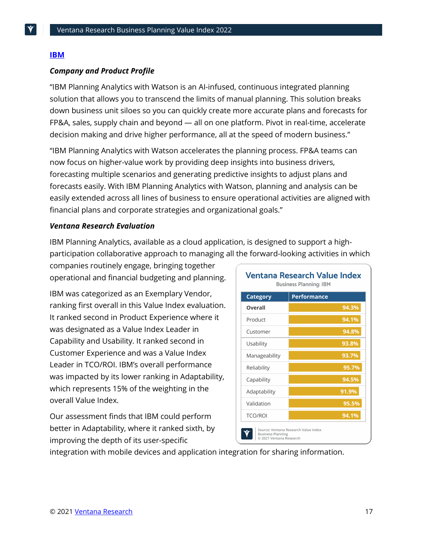#### **[IBM](https://www.ibm.com/products/planning-analytics)**

#### *Company and Product Profile*

"IBM Planning Analytics with Watson is an AI-infused, continuous integrated planning solution that allows you to transcend the limits of manual planning. This solution breaks down business unit siloes so you can quickly create more accurate plans and forecasts for FP&A, sales, supply chain and beyond — all on one platform. Pivot in real-time, accelerate decision making and drive higher performance, all at the speed of modern business."

"IBM Planning Analytics with Watson accelerates the planning process. FP&A teams can now focus on higher-value work by providing deep insights into business drivers, forecasting multiple scenarios and generating predictive insights to adjust plans and forecasts easily. With IBM Planning Analytics with Watson, planning and analysis can be easily extended across all lines of business to ensure operational activities are aligned with financial plans and corporate strategies and organizational goals."

#### *Ventana Research Evaluation*

IBM Planning Analytics, available as a cloud application, is designed to support a highparticipation collaborative approach to managing all the forward-looking activities in which

companies routinely engage, bringing together operational and financial budgeting and planning.

IBM was categorized as an Exemplary Vendor, ranking first overall in this Value Index evaluation. It ranked second in Product Experience where it was designated as a Value Index Leader in Capability and Usability. It ranked second in Customer Experience and was a Value Index Leader in TCO/ROI. IBM's overall performance was impacted by its lower ranking in Adaptability, which represents 15% of the weighting in the overall Value Index.

Our assessment finds that IBM could perform better in Adaptability, where it ranked sixth, by improving the depth of its user-specific

| Ventana Research Value Index<br><b>Business Planning: IBM</b> |                                      |  |
|---------------------------------------------------------------|--------------------------------------|--|
| Category                                                      | <b>Performance</b>                   |  |
| Overall                                                       | 94.3%                                |  |
| Product                                                       | 94.1%                                |  |
| Customer                                                      | 94.8%                                |  |
| Usability                                                     | 93.8%                                |  |
| Manageability                                                 | 93.7%                                |  |
| Reliability                                                   | 95.7%                                |  |
| Capability                                                    | 94.5%                                |  |
| Adaptability                                                  | 91.9%                                |  |
| Validation                                                    | 95.5%                                |  |
| <b>TCO/ROI</b>                                                | 94.1%                                |  |
| <b>Business Planning</b><br>© 2021 Ventana Research           | Source: Ventana Research Value Index |  |

integration with mobile devices and application integration for sharing information.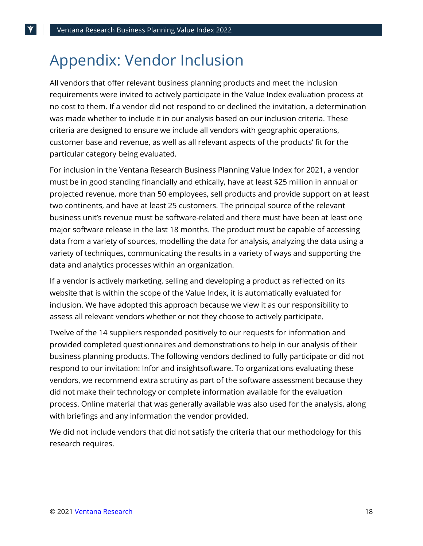### Appendix: Vendor Inclusion

All vendors that offer relevant business planning products and meet the inclusion requirements were invited to actively participate in the Value Index evaluation process at no cost to them. If a vendor did not respond to or declined the invitation, a determination was made whether to include it in our analysis based on our inclusion criteria. These criteria are designed to ensure we include all vendors with geographic operations, customer base and revenue, as well as all relevant aspects of the products' fit for the particular category being evaluated.

For inclusion in the Ventana Research Business Planning Value Index for 2021, a vendor must be in good standing financially and ethically, have at least \$25 million in annual or projected revenue, more than 50 employees, sell products and provide support on at least two continents, and have at least 25 customers. The principal source of the relevant business unit's revenue must be software-related and there must have been at least one major software release in the last 18 months. The product must be capable of accessing data from a variety of sources, modelling the data for analysis, analyzing the data using a variety of techniques, communicating the results in a variety of ways and supporting the data and analytics processes within an organization.

If a vendor is actively marketing, selling and developing a product as reflected on its website that is within the scope of the Value Index, it is automatically evaluated for inclusion. We have adopted this approach because we view it as our responsibility to assess all relevant vendors whether or not they choose to actively participate.

Twelve of the 14 suppliers responded positively to our requests for information and provided completed questionnaires and demonstrations to help in our analysis of their business planning products. The following vendors declined to fully participate or did not respond to our invitation: Infor and insightsoftware. To organizations evaluating these vendors, we recommend extra scrutiny as part of the software assessment because they did not make their technology or complete information available for the evaluation process. Online material that was generally available was also used for the analysis, along with briefings and any information the vendor provided.

We did not include vendors that did not satisfy the criteria that our methodology for this research requires.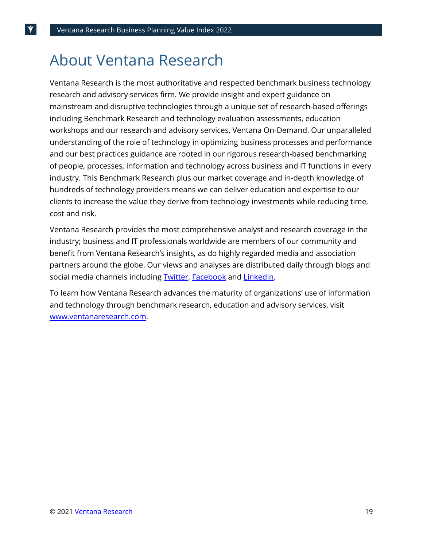### About Ventana Research

Ventana Research is the most authoritative and respected benchmark business technology research and advisory services firm. We provide insight and expert guidance on mainstream and disruptive technologies through a unique set of research-based offerings including Benchmark Research and technology evaluation assessments, education workshops and our research and advisory services, Ventana On-Demand. Our unparalleled understanding of the role of technology in optimizing business processes and performance and our best practices guidance are rooted in our rigorous research-based benchmarking of people, processes, information and technology across business and IT functions in every industry. This Benchmark Research plus our market coverage and in-depth knowledge of hundreds of technology providers means we can deliver education and expertise to our clients to increase the value they derive from technology investments while reducing time, cost and risk.

Ventana Research provides the most comprehensive analyst and research coverage in the industry; business and IT professionals worldwide are members of our community and benefit from Ventana Research's insights, as do highly regarded media and association partners around the globe. Our views and analyses are distributed daily through blogs and social media channels includin[g Twitter,](https://twitter.com/ventanaresearch) [Facebook](https://www.facebook.com/group.php?gid=42346537689&ref=ts) and [LinkedIn.](https://www.linkedin.com/groups?gid=1625427)

To learn how Ventana Research advances the maturity of organizations' use of information and technology through benchmark research, education and advisory services, visit [www.ventanaresearch.com.](https://www.ventanaresearch.com/)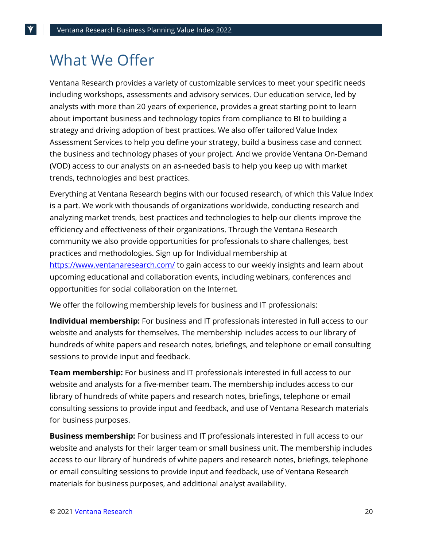### What We Offer

Ventana Research provides a variety of customizable services to meet your specific needs including workshops, assessments and advisory services. Our [education](http://www.ventanaresearch.com/services/services.aspx?id=3697) service, led by analysts with more than 20 years of experience, provides a great starting point to learn about important business and technology topics from compliance to BI to building a strategy and driving adoption of best practices. We also offer tailored [Value Index](http://www.ventanaresearch.com/services/services.aspx?id=3751)  [Assessment Services](http://www.ventanaresearch.com/services/services.aspx?id=3751) to help you define your strategy, build a business case and connect the business and technology phases of your project. And we provide Ventana On-Demand (VOD) access to our analysts on an as-needed basis to help you keep up with market trends, technologies and best practices.

Everything at Ventana Research begins with our focused [research,](http://www.ventanaresearch.com/services/services.php?id=67) of which this Value Index is a part. We work with thousands of organizations worldwide, conducting research and analyzing market trends, best practices and technologies to help our clients improve the efficiency and effectiveness of their organizations. Through the Ventana Research [community](http://www.ventanaresearch.com/services/services.php?id=3630) we also provide opportunities for professionals to share challenges, best practices and methodologies. Sign up for Individual membership at <https://www.ventanaresearch.com/> to gain access to our weekly insights and learn about upcoming educational and collaboration events, including webinars, conferences and opportunities for social collaboration on the Internet.

We offer the following membership levels for business and IT professionals:

**Individual membership:** For business and IT professionals interested in full access to our website and analysts for themselves. The membership includes access to our library of hundreds of white papers and research notes, briefings, and telephone or email consulting sessions to provide input and feedback.

**Team membership:** For business and IT professionals interested in full access to our website and analysts for a five-member team. The membership includes access to our library of hundreds of white papers and research notes, briefings, telephone or email consulting sessions to provide input and feedback, and use of Ventana Research materials for business purposes.

**Business membership:** For business and IT professionals interested in full access to our website and analysts for their larger team or small business unit. The membership includes access to our library of hundreds of white papers and research notes, briefings, telephone or email consulting sessions to provide input and feedback, use of Ventana Research materials for business purposes, and additional analyst availability.